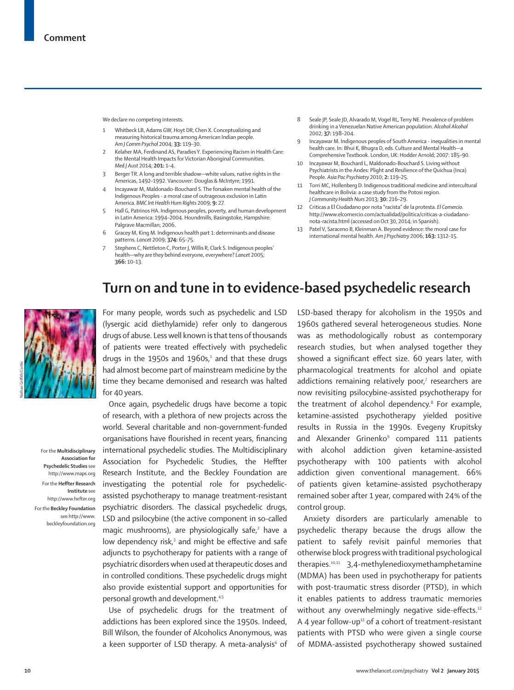We declare no competing interests.

- 1 Whitbeck LB, Adams GW, Hoyt DR, Chen X. Conceptualizing and measuring historical trauma among American Indian people. *Am J Comm Psychol* 2004; **33:** 119–30.
- 2 Kelaher MA, Ferdinand AS, Paradies Y. Experiencing Racism in Health Care: the Mental Health Impacts for Victorian Aboriginal Communities. *Med J Aust* 2014; **201:** 1–4.
- 3 Berger TR. A long and terrible shadow—white values, native rights in the Americas, 1492–1992. Vancouver: Douglas & McIntyre; 1991.
- 4 Incayawar M, Maldonado-Bouchard S. The forsaken mental health of the Indigenous Peoples - a moral case of outrageous exclusion in Latin America. *BMC Int Health Hum Rights* 2009; **9:** 27.
- 5 Hall G, Patrinos HA. Indigenous peoples, poverty, and human development in Latin America: 1994–2004. Houndmills, Basingstoke, Hampshire: Palgrave Macmillan; 2006.
- 6 Gracey M, King M. Indigenous health part 1: determinants and disease patterns. *Lancet* 2009; **374:** 65–75.
- Stephens C, Nettleton C, Porter J, Willis R, Clark S. Indigenous peoples' health—why are they behind everyone, everywhere? *Lancet* 2005; **366:** 10–13.
- 8 Seale JP, Seale JD, Alvarado M, Vogel RL, Terry NE. Prevalence of problem drinking in a Venezuelan Native American population. *Alcohol Alcohol*  2002; **37:** 198–204.
- 9 Incayawar M. Indigenous peoples of South America inequalities in mental health care. In: Bhui K, Bhugra D, eds. Culture and Mental Health—a Comprehensive Textbook. London, UK: Hodder Arnold; 2007: 185–90.
- 10 Incayawar M, Bouchard L, Maldonado-Bouchard S. Living without Psychiatrists in the Andes: Plight and Resilience of the Quichua (Inca) People. *Asia Pac Psychiatry* 2010; **2:** 119–25.
- 11 Torri MC, Hollenberg D. Indigenous traditional medicine and intercultural healthcare in Bolivia: a case study from the Potosi region. *J Community Health Nurs* 2013; **30:** 216–29.
- 12 Criticas a El Ciudadano por nota "racista" de la protesta. *El Comercio*. http://www.elcomercio.com/actualidad/politica/criticas-a-ciudadanonota-racista.html (accessed on Oct 30, 2014; in Spanish).
- 13 Patel V, Saraceno B, Kleinman A. Beyond evidence: the moral case for international mental health. *Am J Psychiatry* 2006; **163:** 1312–15.

## **Turn on and tune in to evidence-based psychedelic research**



For the **Multidisciplinary Association for Psychedelic Studies** see http://www.maps.org For the **Heffter Research Institute** see http://www.hefter.org

For the **Beckley Foundation**  see http://www. beckleyfoundation.org For many people, words such as psychedelic and LSD (lysergic acid diethylamide) refer only to dangerous drugs of abuse. Less well known is that tens of thousands of patients were treated effectively with psychedelic drugs in the 1950s and 1960s, $1$  and that these drugs had almost become part of mainstream medicine by the time they became demonised and research was halted for 40 years.

Once again, psychedelic drugs have become a topic of research, with a plethora of new projects across the world. Several charitable and non-government-funded organisations have flourished in recent years, financing international psychedelic studies. The Multidisciplinary Association for Psychedelic Studies, the Heffter Research Institute, and the Beckley Foundation are investigating the potential role for psychedelicassisted psychotherapy to manage treatment-resistant psychiatric disorders. The classical psychedelic drugs, LSD and psilocybine (the active component in so-called magic mushrooms), are physiologically safe,<sup>2</sup> have a low dependency risk,<sup>3</sup> and might be effective and safe adjuncts to psychotherapy for patients with a range of psychiatric disorders when used at therapeutic doses and in controlled conditions. These psychedelic drugs might also provide existential support and opportunities for personal growth and development.<sup>4,5</sup>

Use of psychedelic drugs for the treatment of addictions has been explored since the 1950s. Indeed, Bill Wilson, the founder of Alcoholics Anonymous, was a keen supporter of LSD therapy. A meta-analysis<sup>6</sup> of LSD-based therapy for alcoholism in the 1950s and 1960s gathered several heterogeneous studies. None was as methodologically robust as contemporary research studies, but when analysed together they showed a significant effect size. 60 years later, with pharmacological treatments for alcohol and opiate addictions remaining relatively poor,7 researchers are now revisiting psilocybine-assisted psychotherapy for the treatment of alcohol dependency.<sup>8</sup> For example, ketamine-assisted psychotherapy yielded positive results in Russia in the 1990s. Evegeny Krupitsky and Alexander Grinenko<sup>9</sup> compared 111 patients with alcohol addiction given ketamine-assisted psychotherapy with 100 patients with alcohol addiction given conventional management. 66% of patients given ketamine-assisted psychotherapy remained sober after 1 year, compared with 24% of the control group.

Anxiety disorders are particularly amenable to psychedelic therapy because the drugs allow the patient to safely revisit painful memories that otherwise block progress with traditional psychological therapies.10,11 3,4-methylenedioxymethamphetamine (MDMA) has been used in psychotherapy for patients with post-traumatic stress disorder (PTSD), in which it enables patients to address traumatic memories without any overwhelmingly negative side-effects.<sup>12</sup> A 4 year follow-up<sup>13</sup> of a cohort of treatment-resistant patients with PTSD who were given a single course of MDMA-assisted psychotherapy showed sustained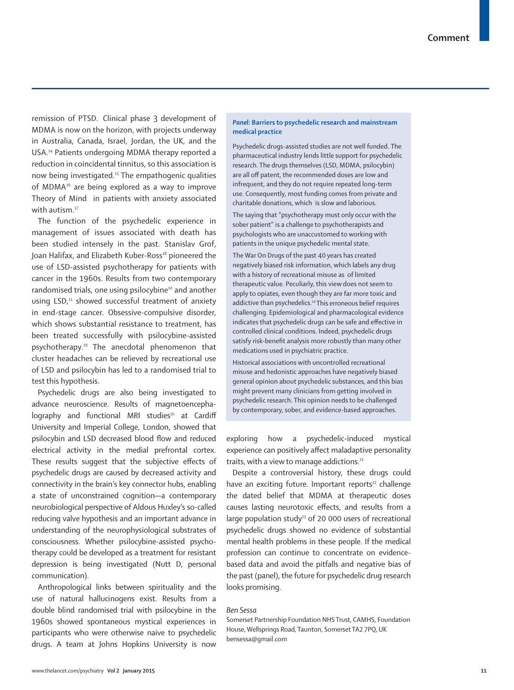remission of PTSD. Clinical phase 3 development of MDMA is now on the horizon, with projects underway in Australia, Canada, Israel, Jordan, the UK, and the USA.14 Patients undergoing MDMA therapy reported a reduction in coincidental tinnitus, so this association is now being investigated.15 The empathogenic qualities of MDMA16 are being explored as a way to improve Theory of Mind in patients with anxiety associated with autism.<sup>17</sup>

The function of the psychedelic experience in management of issues associated with death has been studied intensely in the past. Stanislav Grof, Joan Halifax, and Elizabeth Kuber-Ross<sup>18</sup> pioneered the use of LSD-assisted psychotherapy for patients with cancer in the 1960s. Results from two contemporary randomised trials, one using psilocybine<sup>10</sup> and another using LSD,<sup>11</sup> showed successful treatment of anxiety in end-stage cancer. Obsessive-compulsive disorder, which shows substantial resistance to treatment, has been treated successfully with psilocybine-assisted psychotherapy.19 The anecdotal phenomenon that cluster headaches can be relieved by recreational use of LSD and psilocybin has led to a randomised trial to test this hypothesis.

Psychedelic drugs are also being investigated to advance neuroscience. Results of magnetoencepha $lographv$  and functional MRI studies<sup>20</sup> at Cardiff University and Imperial College, London, showed that psilocybin and LSD decreased blood flow and reduced electrical activity in the medial prefrontal cortex. These results suggest that the subjective effects of psychedelic drugs are caused by decreased activity and connectivity in the brain's key connector hubs, enabling a state of unconstrained cognition—a contemporary neurobiological perspective of Aldous Huxley's so-called reducing valve hypothesis and an important advance in understanding of the neurophysiological substrates of consciousness. Whether psilocybine-assisted psychotherapy could be developed as a treatment for resistant depression is being investigated (Nutt D, personal communication).

Anthropological links between spirituality and the use of natural hallucinogens exist. Results from a double blind randomised trial with psilocybine in the 1960s showed spontaneous mystical experiences in participants who were otherwise naive to psychedelic drugs. A team at Johns Hopkins University is now

## *Panel:* **Barriers to psychedelic research and mainstream medical practice**

Psychedelic drugs-assisted studies are not well funded. The pharmaceutical industry lends little support for psychedelic research. The drugs themselves (LSD, MDMA, psilocybin) are all off patent, the recommended doses are low and infrequent, and they do not require repeated long-term use. Consequently, most funding comes from private and charitable donations, which is slow and laborious.

The saying that "psychotherapy must only occur with the sober patient" is a challenge to psychotherapists and psychologists who are unaccustomed to working with patients in the unique psychedelic mental state.

The War On Drugs of the past 40 years has created negatively biased risk information, which labels any drug with a history of recreational misuse as of limited therapeutic value. Peculiarly, this view does not seem to apply to opiates, even though they are far more toxic and addictive than psychedelics.<sup>24</sup> This erroneous belief requires challenging. Epidemiological and pharmacological evidence indicates that psychedelic drugs can be safe and effective in controlled clinical conditions. Indeed, psychedelic drugs satisfy risk-benefit analysis more robustly than many other medications used in psychiatric practice.

Historical associations with uncontrolled recreational misuse and hedonistic approaches have negatively biased general opinion about psychedelic substances, and this bias might prevent many clinicians from getting involved in psychedelic research. This opinion needs to be challenged by contemporary, sober, and evidence-based approaches.

exploring how a psychedelic-induced mystical experience can positively affect maladaptive personality traits, with a view to manage addictions.<sup>21</sup>

Despite a controversial history, these drugs could have an exciting future. Important reports<sup>22</sup> challenge the dated belief that MDMA at therapeutic doses causes lasting neurotoxic effects, and results from a large population study<sup>23</sup> of 20 000 users of recreational psychedelic drugs showed no evidence of substantial mental health problems in these people. If the medical profession can continue to concentrate on evidencebased data and avoid the pitfalls and negative bias of the past (panel), the future for psychedelic drug research looks promising.

## *Ben Sessa*

Somerset Partnership Foundation NHS Trust, CAMHS, Foundation House, Wellsprings Road, Taunton, Somerset TA2 7PQ, UK bensessa@gmail.com